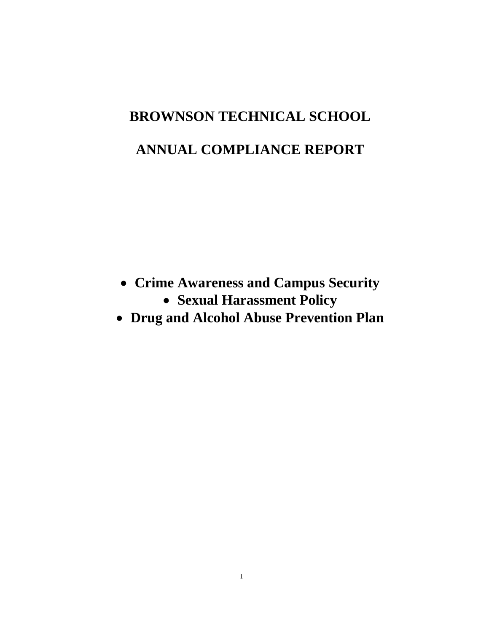# **BROWNSON TECHNICAL SCHOOL**

# **ANNUAL COMPLIANCE REPORT**

- **Crime Awareness and Campus Security**
	- **Sexual Harassment Policy**
- **Drug and Alcohol Abuse Prevention Plan**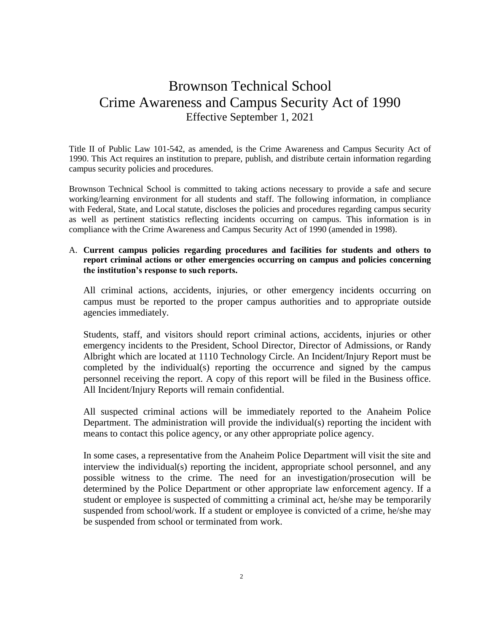# Brownson Technical School Crime Awareness and Campus Security Act of 1990 Effective September 1, 2021

Title II of Public Law 101-542, as amended, is the Crime Awareness and Campus Security Act of 1990. This Act requires an institution to prepare, publish, and distribute certain information regarding campus security policies and procedures.

Brownson Technical School is committed to taking actions necessary to provide a safe and secure working/learning environment for all students and staff. The following information, in compliance with Federal, State, and Local statute, discloses the policies and procedures regarding campus security as well as pertinent statistics reflecting incidents occurring on campus. This information is in compliance with the Crime Awareness and Campus Security Act of 1990 (amended in 1998).

#### A. **Current campus policies regarding procedures and facilities for students and others to report criminal actions or other emergencies occurring on campus and policies concerning the institution's response to such reports.**

All criminal actions, accidents, injuries, or other emergency incidents occurring on campus must be reported to the proper campus authorities and to appropriate outside agencies immediately.

Students, staff, and visitors should report criminal actions, accidents, injuries or other emergency incidents to the President, School Director, Director of Admissions, or Randy Albright which are located at 1110 Technology Circle. An Incident/Injury Report must be completed by the individual(s) reporting the occurrence and signed by the campus personnel receiving the report. A copy of this report will be filed in the Business office. All Incident/Injury Reports will remain confidential.

All suspected criminal actions will be immediately reported to the Anaheim Police Department. The administration will provide the individual(s) reporting the incident with means to contact this police agency, or any other appropriate police agency.

In some cases, a representative from the Anaheim Police Department will visit the site and interview the individual(s) reporting the incident, appropriate school personnel, and any possible witness to the crime. The need for an investigation/prosecution will be determined by the Police Department or other appropriate law enforcement agency. If a student or employee is suspected of committing a criminal act, he/she may be temporarily suspended from school/work. If a student or employee is convicted of a crime, he/she may be suspended from school or terminated from work.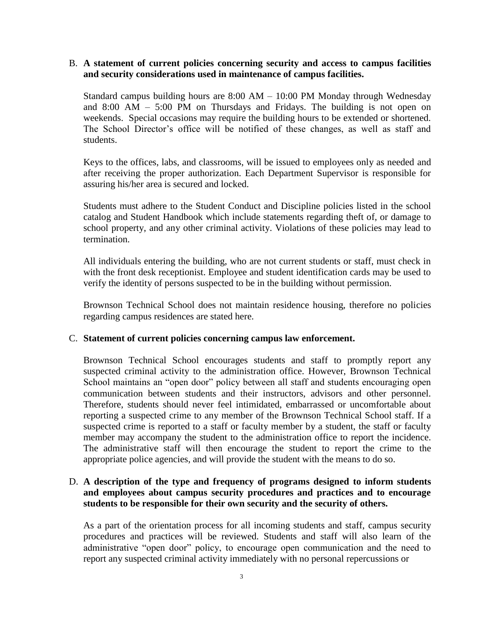#### B. **A statement of current policies concerning security and access to campus facilities and security considerations used in maintenance of campus facilities.**

Standard campus building hours are 8:00 AM – 10:00 PM Monday through Wednesday and 8:00 AM – 5:00 PM on Thursdays and Fridays. The building is not open on weekends. Special occasions may require the building hours to be extended or shortened. The School Director's office will be notified of these changes, as well as staff and students.

Keys to the offices, labs, and classrooms, will be issued to employees only as needed and after receiving the proper authorization. Each Department Supervisor is responsible for assuring his/her area is secured and locked.

Students must adhere to the Student Conduct and Discipline policies listed in the school catalog and Student Handbook which include statements regarding theft of, or damage to school property, and any other criminal activity. Violations of these policies may lead to termination.

All individuals entering the building, who are not current students or staff, must check in with the front desk receptionist. Employee and student identification cards may be used to verify the identity of persons suspected to be in the building without permission.

Brownson Technical School does not maintain residence housing, therefore no policies regarding campus residences are stated here.

#### C. **Statement of current policies concerning campus law enforcement.**

Brownson Technical School encourages students and staff to promptly report any suspected criminal activity to the administration office. However, Brownson Technical School maintains an "open door" policy between all staff and students encouraging open communication between students and their instructors, advisors and other personnel. Therefore, students should never feel intimidated, embarrassed or uncomfortable about reporting a suspected crime to any member of the Brownson Technical School staff. If a suspected crime is reported to a staff or faculty member by a student, the staff or faculty member may accompany the student to the administration office to report the incidence. The administrative staff will then encourage the student to report the crime to the appropriate police agencies, and will provide the student with the means to do so.

### D. **A description of the type and frequency of programs designed to inform students and employees about campus security procedures and practices and to encourage students to be responsible for their own security and the security of others.**

As a part of the orientation process for all incoming students and staff, campus security procedures and practices will be reviewed. Students and staff will also learn of the administrative "open door" policy, to encourage open communication and the need to report any suspected criminal activity immediately with no personal repercussions or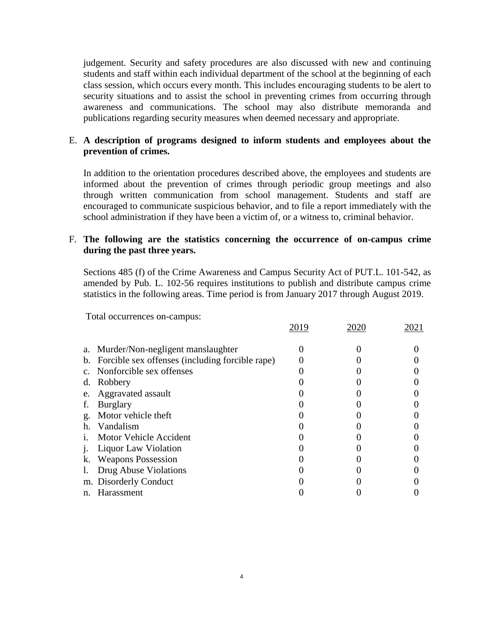judgement. Security and safety procedures are also discussed with new and continuing students and staff within each individual department of the school at the beginning of each class session, which occurs every month. This includes encouraging students to be alert to security situations and to assist the school in preventing crimes from occurring through awareness and communications. The school may also distribute memoranda and publications regarding security measures when deemed necessary and appropriate.

# E. **A description of programs designed to inform students and employees about the prevention of crimes.**

In addition to the orientation procedures described above, the employees and students are informed about the prevention of crimes through periodic group meetings and also through written communication from school management. Students and staff are encouraged to communicate suspicious behavior, and to file a report immediately with the school administration if they have been a victim of, or a witness to, criminal behavior.

## F. **The following are the statistics concerning the occurrence of on-campus crime during the past three years.**

Sections 485 (f) of the Crime Awareness and Campus Security Act of PUT.L. 101-542, as amended by Pub. L. 102-56 requires institutions to publish and distribute campus crime statistics in the following areas. Time period is from January 2017 through August 2019.

Total occurrences on-campus:

|                | a. Murder/Non-negligent manslaughter               |  |  |
|----------------|----------------------------------------------------|--|--|
|                | b. Forcible sex offenses (including forcible rape) |  |  |
|                | c. Nonforcible sex offenses                        |  |  |
| d.             | Robbery                                            |  |  |
| e.             | Aggravated assault                                 |  |  |
| f.             | <b>Burglary</b>                                    |  |  |
| g.             | Motor vehicle theft                                |  |  |
| h.             | Vandalism                                          |  |  |
| $\mathbf{1}$ . | Motor Vehicle Accident                             |  |  |
|                | Liquor Law Violation                               |  |  |
| k.             | <b>Weapons Possession</b>                          |  |  |
|                | Drug Abuse Violations                              |  |  |
|                | m. Disorderly Conduct                              |  |  |
| n.             | Harassment                                         |  |  |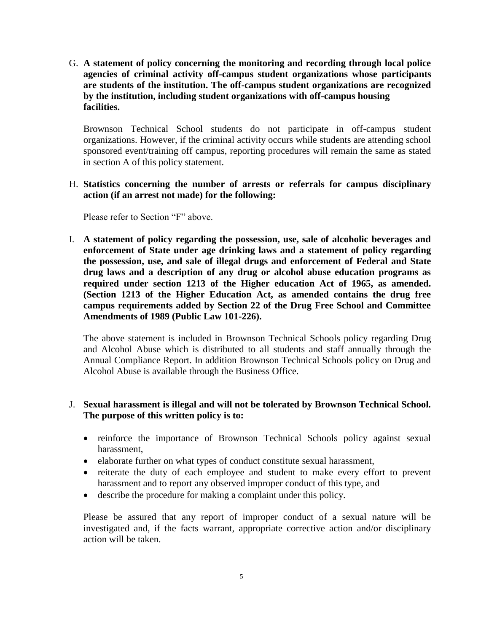G. **A statement of policy concerning the monitoring and recording through local police agencies of criminal activity off-campus student organizations whose participants are students of the institution. The off-campus student organizations are recognized by the institution, including student organizations with off-campus housing facilities.**

Brownson Technical School students do not participate in off-campus student organizations. However, if the criminal activity occurs while students are attending school sponsored event/training off campus, reporting procedures will remain the same as stated in section A of this policy statement.

### H. **Statistics concerning the number of arrests or referrals for campus disciplinary action (if an arrest not made) for the following:**

Please refer to Section "F" above.

I. **A statement of policy regarding the possession, use, sale of alcoholic beverages and enforcement of State under age drinking laws and a statement of policy regarding the possession, use, and sale of illegal drugs and enforcement of Federal and State drug laws and a description of any drug or alcohol abuse education programs as required under section 1213 of the Higher education Act of 1965, as amended. (Section 1213 of the Higher Education Act, as amended contains the drug free campus requirements added by Section 22 of the Drug Free School and Committee Amendments of 1989 (Public Law 101-226).** 

The above statement is included in Brownson Technical Schools policy regarding Drug and Alcohol Abuse which is distributed to all students and staff annually through the Annual Compliance Report. In addition Brownson Technical Schools policy on Drug and Alcohol Abuse is available through the Business Office.

# J. **Sexual harassment is illegal and will not be tolerated by Brownson Technical School. The purpose of this written policy is to:**

- reinforce the importance of Brownson Technical Schools policy against sexual harassment,
- elaborate further on what types of conduct constitute sexual harassment,
- reiterate the duty of each employee and student to make every effort to prevent harassment and to report any observed improper conduct of this type, and
- describe the procedure for making a complaint under this policy.

Please be assured that any report of improper conduct of a sexual nature will be investigated and, if the facts warrant, appropriate corrective action and/or disciplinary action will be taken.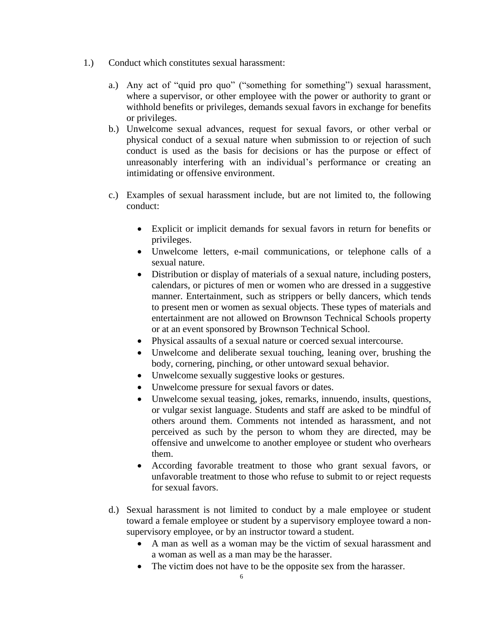- 1.) Conduct which constitutes sexual harassment:
	- a.) Any act of "quid pro quo" ("something for something") sexual harassment, where a supervisor, or other employee with the power or authority to grant or withhold benefits or privileges, demands sexual favors in exchange for benefits or privileges.
	- b.) Unwelcome sexual advances, request for sexual favors, or other verbal or physical conduct of a sexual nature when submission to or rejection of such conduct is used as the basis for decisions or has the purpose or effect of unreasonably interfering with an individual's performance or creating an intimidating or offensive environment.
	- c.) Examples of sexual harassment include, but are not limited to, the following conduct:
		- Explicit or implicit demands for sexual favors in return for benefits or privileges.
		- Unwelcome letters, e-mail communications, or telephone calls of a sexual nature.
		- Distribution or display of materials of a sexual nature, including posters, calendars, or pictures of men or women who are dressed in a suggestive manner. Entertainment, such as strippers or belly dancers, which tends to present men or women as sexual objects. These types of materials and entertainment are not allowed on Brownson Technical Schools property or at an event sponsored by Brownson Technical School.
		- Physical assaults of a sexual nature or coerced sexual intercourse.
		- Unwelcome and deliberate sexual touching, leaning over, brushing the body, cornering, pinching, or other untoward sexual behavior.
		- Unwelcome sexually suggestive looks or gestures.
		- Unwelcome pressure for sexual favors or dates.
		- Unwelcome sexual teasing, jokes, remarks, innuendo, insults, questions, or vulgar sexist language. Students and staff are asked to be mindful of others around them. Comments not intended as harassment, and not perceived as such by the person to whom they are directed, may be offensive and unwelcome to another employee or student who overhears them.
		- According favorable treatment to those who grant sexual favors, or unfavorable treatment to those who refuse to submit to or reject requests for sexual favors.
	- d.) Sexual harassment is not limited to conduct by a male employee or student toward a female employee or student by a supervisory employee toward a nonsupervisory employee, or by an instructor toward a student.
		- A man as well as a woman may be the victim of sexual harassment and a woman as well as a man may be the harasser.
		- The victim does not have to be the opposite sex from the harasser.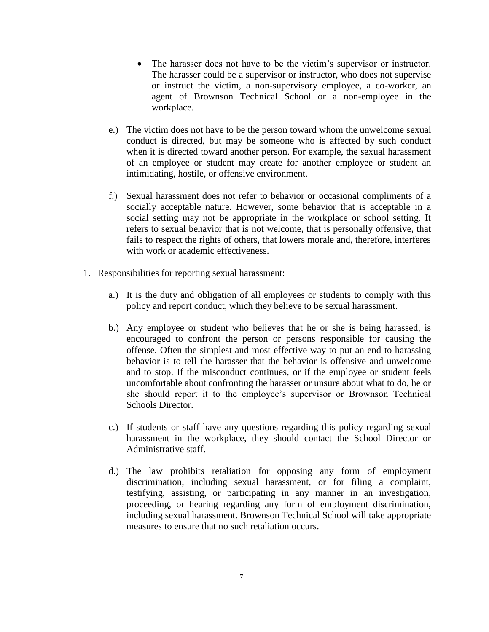- The harasser does not have to be the victim's supervisor or instructor. The harasser could be a supervisor or instructor, who does not supervise or instruct the victim, a non-supervisory employee, a co-worker, an agent of Brownson Technical School or a non-employee in the workplace.
- e.) The victim does not have to be the person toward whom the unwelcome sexual conduct is directed, but may be someone who is affected by such conduct when it is directed toward another person. For example, the sexual harassment of an employee or student may create for another employee or student an intimidating, hostile, or offensive environment.
- f.) Sexual harassment does not refer to behavior or occasional compliments of a socially acceptable nature. However, some behavior that is acceptable in a social setting may not be appropriate in the workplace or school setting. It refers to sexual behavior that is not welcome, that is personally offensive, that fails to respect the rights of others, that lowers morale and, therefore, interferes with work or academic effectiveness.
- 1. Responsibilities for reporting sexual harassment:
	- a.) It is the duty and obligation of all employees or students to comply with this policy and report conduct, which they believe to be sexual harassment.
	- b.) Any employee or student who believes that he or she is being harassed, is encouraged to confront the person or persons responsible for causing the offense. Often the simplest and most effective way to put an end to harassing behavior is to tell the harasser that the behavior is offensive and unwelcome and to stop. If the misconduct continues, or if the employee or student feels uncomfortable about confronting the harasser or unsure about what to do, he or she should report it to the employee's supervisor or Brownson Technical Schools Director.
	- c.) If students or staff have any questions regarding this policy regarding sexual harassment in the workplace, they should contact the School Director or Administrative staff.
	- d.) The law prohibits retaliation for opposing any form of employment discrimination, including sexual harassment, or for filing a complaint, testifying, assisting, or participating in any manner in an investigation, proceeding, or hearing regarding any form of employment discrimination, including sexual harassment. Brownson Technical School will take appropriate measures to ensure that no such retaliation occurs.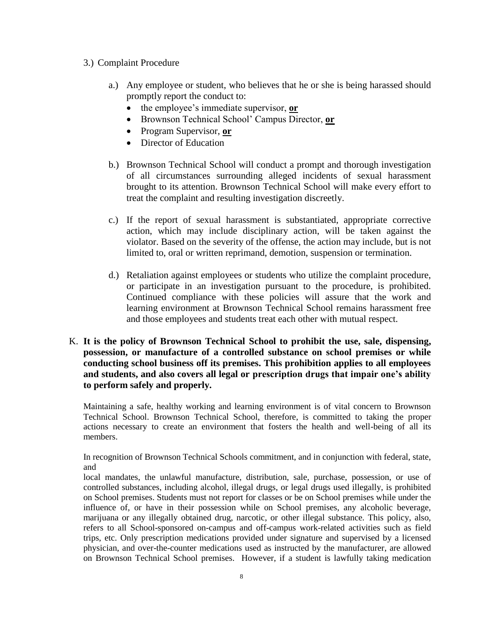#### 3.) Complaint Procedure

- a.) Any employee or student, who believes that he or she is being harassed should promptly report the conduct to:
	- the employee's immediate supervisor, **or**
	- Brownson Technical School' Campus Director, **or**
	- Program Supervisor, **or**
	- Director of Education
- b.) Brownson Technical School will conduct a prompt and thorough investigation of all circumstances surrounding alleged incidents of sexual harassment brought to its attention. Brownson Technical School will make every effort to treat the complaint and resulting investigation discreetly.
- c.) If the report of sexual harassment is substantiated, appropriate corrective action, which may include disciplinary action, will be taken against the violator. Based on the severity of the offense, the action may include, but is not limited to, oral or written reprimand, demotion, suspension or termination.
- d.) Retaliation against employees or students who utilize the complaint procedure, or participate in an investigation pursuant to the procedure, is prohibited. Continued compliance with these policies will assure that the work and learning environment at Brownson Technical School remains harassment free and those employees and students treat each other with mutual respect.
- K. **It is the policy of Brownson Technical School to prohibit the use, sale, dispensing, possession, or manufacture of a controlled substance on school premises or while conducting school business off its premises. This prohibition applies to all employees and students, and also covers all legal or prescription drugs that impair one's ability to perform safely and properly.**

Maintaining a safe, healthy working and learning environment is of vital concern to Brownson Technical School. Brownson Technical School, therefore, is committed to taking the proper actions necessary to create an environment that fosters the health and well-being of all its members.

In recognition of Brownson Technical Schools commitment, and in conjunction with federal, state, and

local mandates, the unlawful manufacture, distribution, sale, purchase, possession, or use of controlled substances, including alcohol, illegal drugs, or legal drugs used illegally, is prohibited on School premises. Students must not report for classes or be on School premises while under the influence of, or have in their possession while on School premises, any alcoholic beverage, marijuana or any illegally obtained drug, narcotic, or other illegal substance. This policy, also, refers to all School-sponsored on-campus and off-campus work-related activities such as field trips, etc. Only prescription medications provided under signature and supervised by a licensed physician, and over-the-counter medications used as instructed by the manufacturer, are allowed on Brownson Technical School premises. However, if a student is lawfully taking medication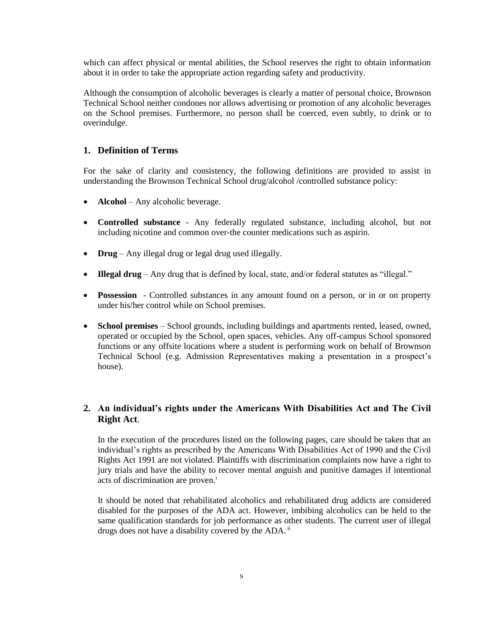which can affect physical or mental abilities, the School reserves the right to obtain information about it in order to take the appropriate action regarding safety and productivity.

Although the consumption of alcoholic beverages is clearly a matter of personal choice, Brownson Technical School neither condones nor allows advertising or promotion of any alcoholic beverages on the School premises. Furthermore, no person shall be coerced, even subtly, to drink or to overindulge.

#### **1. Definition of Terms**

For the sake of clarity and consistency, the following definitions are provided to assist in understanding the Brownson Technical School drug/alcohol /controlled substance policy:

- **Alcohol** Any alcoholic beverage.
- **Controlled substance**  Any federally regulated substance, including alcohol, but not including nicotine and common over-the counter medications such as aspirin.
- **Drug** Any illegal drug or legal drug used illegally.
- **Illegal drug** Any drug that is defined by local, state, and/or federal statutes as "illegal."
- **Possession**  Controlled substances in any amount found on a person, or in or on property under his/her control while on School premises.
- **School premises** School grounds, including buildings and apartments rented, leased, owned, operated or occupied by the School, open spaces, vehicles. Any off-campus School sponsored functions or any offsite locations where a student is performing work on behalf of Brownson Technical School (e.g. Admission Representatives making a presentation in a prospect's house).

### **2. An individual's rights under the Americans With Disabilities Act and The Civil Right Act**.

In the execution of the procedures listed on the following pages, care should be taken that an individual's rights as prescribed by the Americans With Disabilities Act of 1990 and the Civil Rights Act 1991 are not violated. Plaintiffs with discrimination complaints now have a right to jury trials and have the ability to recover mental anguish and punitive damages if intentional acts of discrimination are proven.<sup>i</sup>

It should be noted that rehabilitated alcoholics and rehabilitated drug addicts are considered disabled for the purposes of the ADA act. However, imbibing alcoholics can be held to the same qualification standards for job performance as other students. The current user of illegal drugs does not have a disability covered by the ADA.<sup>ii</sup>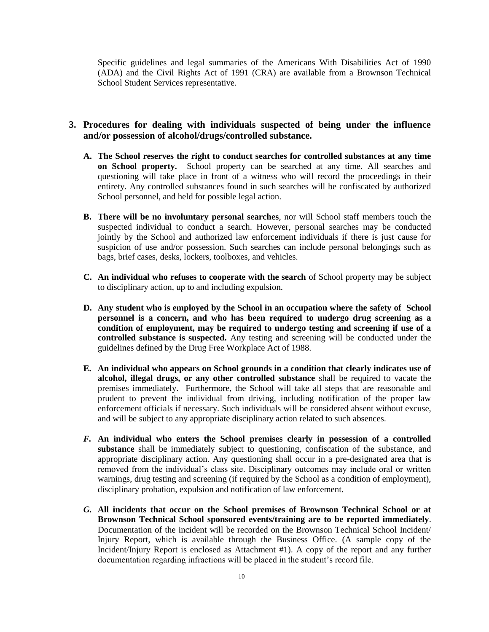Specific guidelines and legal summaries of the Americans With Disabilities Act of 1990 (ADA) and the Civil Rights Act of 1991 (CRA) are available from a Brownson Technical School Student Services representative.

#### **3. Procedures for dealing with individuals suspected of being under the influence and/or possession of alcohol/drugs/controlled substance.**

- **A. The School reserves the right to conduct searches for controlled substances at any time on School property.** School property can be searched at any time. All searches and questioning will take place in front of a witness who will record the proceedings in their entirety. Any controlled substances found in such searches will be confiscated by authorized School personnel, and held for possible legal action.
- **B. There will be no involuntary personal searches**, nor will School staff members touch the suspected individual to conduct a search. However, personal searches may be conducted jointly by the School and authorized law enforcement individuals if there is just cause for suspicion of use and/or possession. Such searches can include personal belongings such as bags, brief cases, desks, lockers, toolboxes, and vehicles.
- **C. An individual who refuses to cooperate with the search** of School property may be subject to disciplinary action, up to and including expulsion.
- **D. Any student who is employed by the School in an occupation where the safety of School personnel is a concern, and who has been required to undergo drug screening as a condition of employment, may be required to undergo testing and screening if use of a controlled substance is suspected.** Any testing and screening will be conducted under the guidelines defined by the Drug Free Workplace Act of 1988.
- **E. An individual who appears on School grounds in a condition that clearly indicates use of alcohol, illegal drugs, or any other controlled substance** shall be required to vacate the premises immediately. Furthermore, the School will take all steps that are reasonable and prudent to prevent the individual from driving, including notification of the proper law enforcement officials if necessary. Such individuals will be considered absent without excuse, and will be subject to any appropriate disciplinary action related to such absences.
- *F.* **An individual who enters the School premises clearly in possession of a controlled substance** shall be immediately subject to questioning, confiscation of the substance, and appropriate disciplinary action. Any questioning shall occur in a pre-designated area that is removed from the individual's class site. Disciplinary outcomes may include oral or written warnings, drug testing and screening (if required by the School as a condition of employment), disciplinary probation, expulsion and notification of law enforcement.
- *G.* **All incidents that occur on the School premises of Brownson Technical School or at Brownson Technical School sponsored events/training are to be reported immediately**. Documentation of the incident will be recorded on the Brownson Technical School Incident/ Injury Report, which is available through the Business Office. (A sample copy of the Incident/Injury Report is enclosed as Attachment #1). A copy of the report and any further documentation regarding infractions will be placed in the student's record file.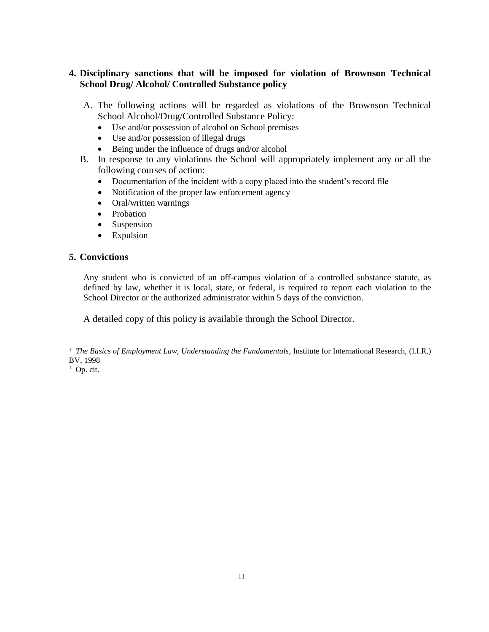# **4. Disciplinary sanctions that will be imposed for violation of Brownson Technical School Drug/ Alcohol/ Controlled Substance policy**

- A. The following actions will be regarded as violations of the Brownson Technical School Alcohol/Drug/Controlled Substance Policy:
	- Use and/or possession of alcohol on School premises
	- Use and/or possession of illegal drugs
	- Being under the influence of drugs and/or alcohol
- B. In response to any violations the School will appropriately implement any or all the following courses of action:
	- Documentation of the incident with a copy placed into the student's record file
	- Notification of the proper law enforcement agency
	- Oral/written warnings
	- Probation
	- Suspension
	- Expulsion

# **5. Convictions**

Any student who is convicted of an off-campus violation of a controlled substance statute, as defined by law, whether it is local, state, or federal, is required to report each violation to the School Director or the authorized administrator within 5 days of the conviction.

A detailed copy of this policy is available through the School Director.

<sup>1</sup> The Basics of Employment Law, Understanding the Fundamentals, Institute for International Research, (I.I.R.) BV, 1998

 $1$  Op. cit.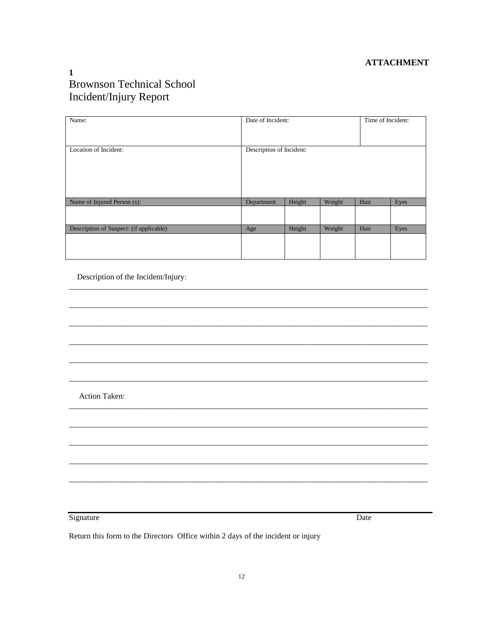### **ATTACHMENT**

# $\mathbf{1}$ **Brownson Technical School** Incident/Injury Report

| Name:                                   | Date of Incident:        |        | Time of Incident: |      |      |
|-----------------------------------------|--------------------------|--------|-------------------|------|------|
|                                         |                          |        |                   |      |      |
| Location of Incident:                   | Description of Incident: |        |                   |      |      |
| Name of Injured Person (s):             | Department               | Height | Weight            | Hair | Eyes |
|                                         |                          |        |                   |      |      |
| Description of Suspect: (if applicable) | Age                      | Height | Weight            | Hair | Eyes |
|                                         |                          |        |                   |      |      |

Description of the Incident/Injury:

Action Taken:

Signature

Date

Return this form to the Directors Office within 2 days of the incident or injury